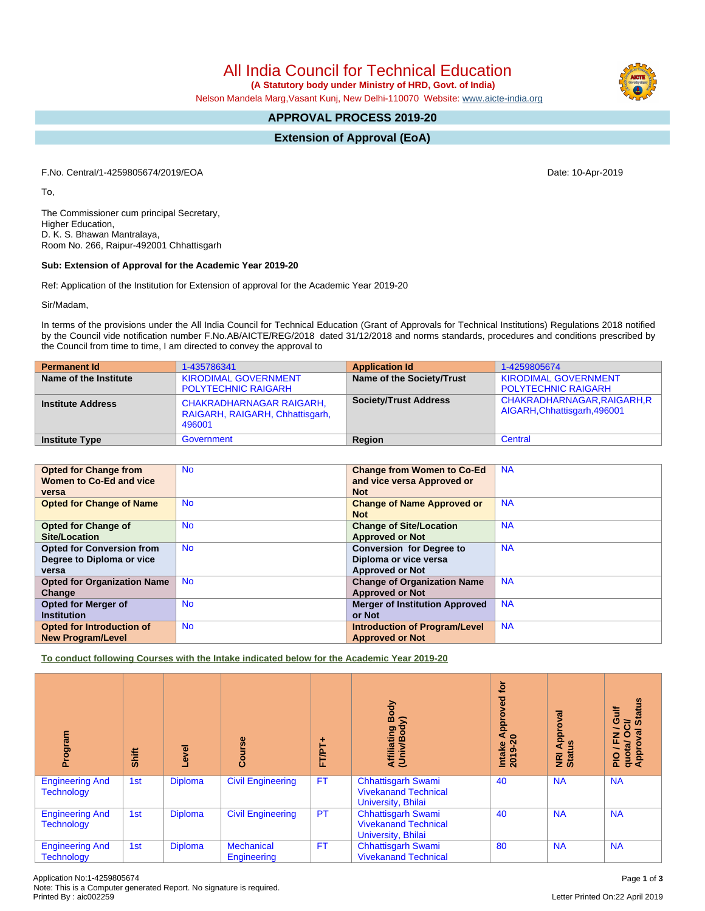All India Council for Technical Education

 **(A Statutory body under Ministry of HRD, Govt. of India)**

Nelson Mandela Marg,Vasant Kunj, New Delhi-110070 Website: [www.aicte-india.org](http://www.aicte-india.org)

## **APPROVAL PROCESS 2019-20**

**Extension of Approval (EoA)**

F.No. Central/1-4259805674/2019/EOA Date: 10-Apr-2019

To,

The Commissioner cum principal Secretary, Higher Education, D. K. S. Bhawan Mantralaya, Room No. 266, Raipur-492001 Chhattisgarh

## **Sub: Extension of Approval for the Academic Year 2019-20**

Ref: Application of the Institution for Extension of approval for the Academic Year 2019-20

Sir/Madam,

In terms of the provisions under the All India Council for Technical Education (Grant of Approvals for Technical Institutions) Regulations 2018 notified by the Council vide notification number F.No.AB/AICTE/REG/2018 dated 31/12/2018 and norms standards, procedures and conditions prescribed by the Council from time to time, I am directed to convey the approval to

| <b>Permanent Id</b>      | 1-435786341                                                                  | <b>Application Id</b>        | 1-4259805674                                                |
|--------------------------|------------------------------------------------------------------------------|------------------------------|-------------------------------------------------------------|
| Name of the Institute    | <b>KIRODIMAL GOVERNMENT</b><br><b>POLYTECHNIC RAIGARH</b>                    | Name of the Society/Trust    | <b>KIRODIMAL GOVERNMENT</b><br><b>POLYTECHNIC RAIGARH</b>   |
| <b>Institute Address</b> | <b>CHAKRADHARNAGAR RAIGARH,</b><br>RAIGARH, RAIGARH, Chhattisgarh,<br>496001 | <b>Society/Trust Address</b> | CHAKRADHARNAGAR, RAIGARH, R<br>AIGARH, Chhattisgarh, 496001 |
| <b>Institute Type</b>    | Government                                                                   | <b>Region</b>                | Central                                                     |

| <b>Opted for Change from</b>       | <b>No</b> | <b>Change from Women to Co-Ed</b>     | <b>NA</b> |
|------------------------------------|-----------|---------------------------------------|-----------|
|                                    |           |                                       |           |
| Women to Co-Ed and vice            |           | and vice versa Approved or            |           |
| versa                              |           | <b>Not</b>                            |           |
|                                    |           |                                       |           |
| <b>Opted for Change of Name</b>    | <b>No</b> | <b>Change of Name Approved or</b>     | <b>NA</b> |
|                                    |           | <b>Not</b>                            |           |
| <b>Opted for Change of</b>         | <b>No</b> | <b>Change of Site/Location</b>        | <b>NA</b> |
| Site/Location                      |           | <b>Approved or Not</b>                |           |
|                                    |           |                                       |           |
| <b>Opted for Conversion from</b>   | <b>No</b> | <b>Conversion for Degree to</b>       | <b>NA</b> |
| Degree to Diploma or vice          |           | Diploma or vice versa                 |           |
| versa                              |           | <b>Approved or Not</b>                |           |
| <b>Opted for Organization Name</b> | <b>No</b> | <b>Change of Organization Name</b>    | <b>NA</b> |
| Change                             |           | <b>Approved or Not</b>                |           |
| <b>Opted for Merger of</b>         | <b>No</b> | <b>Merger of Institution Approved</b> | <b>NA</b> |
| <b>Institution</b>                 |           | or Not                                |           |
| <b>Opted for Introduction of</b>   | <b>No</b> | <b>Introduction of Program/Level</b>  | <b>NA</b> |
| <b>New Program/Level</b>           |           | <b>Approved or Not</b>                |           |

**To conduct following Courses with the Intake indicated below for the Academic Year 2019-20**

| Program                                     | Shift | Level          | Course                           | FTPT+     | Body<br>⋦<br>Affiliating<br>ы<br>ⅇ<br>Univ                                     | <b>jo</b><br><b>P</b><br>><br>e Approv<br>.20<br>Intake<br>2019-2 | ख़<br>Approv<br>Ŝ<br>NRI<br>Stat | <b>Status</b><br>這<br>0<br>ថិ<br>$\overline{\phantom{a}}$<br>ड़<br>J / FN<br>quota/ O<br>Approval |
|---------------------------------------------|-------|----------------|----------------------------------|-----------|--------------------------------------------------------------------------------|-------------------------------------------------------------------|----------------------------------|---------------------------------------------------------------------------------------------------|
| <b>Engineering And</b><br><b>Technology</b> | 1st   | <b>Diploma</b> | <b>Civil Engineering</b>         | <b>FT</b> | <b>Chhattisgarh Swami</b><br><b>Vivekanand Technical</b><br>University, Bhilai | 40                                                                | <b>NA</b>                        | <b>NA</b>                                                                                         |
| <b>Engineering And</b><br><b>Technology</b> | 1st   | <b>Diploma</b> | <b>Civil Engineering</b>         | <b>PT</b> | <b>Chhattisgarh Swami</b><br><b>Vivekanand Technical</b><br>University, Bhilai | 40                                                                | <b>NA</b>                        | <b>NA</b>                                                                                         |
| <b>Engineering And</b><br><b>Technology</b> | 1st   | <b>Diploma</b> | <b>Mechanical</b><br>Engineering | <b>FT</b> | <b>Chhattisgarh Swami</b><br><b>Vivekanand Technical</b>                       | 80                                                                | <b>NA</b>                        | <b>NA</b>                                                                                         |

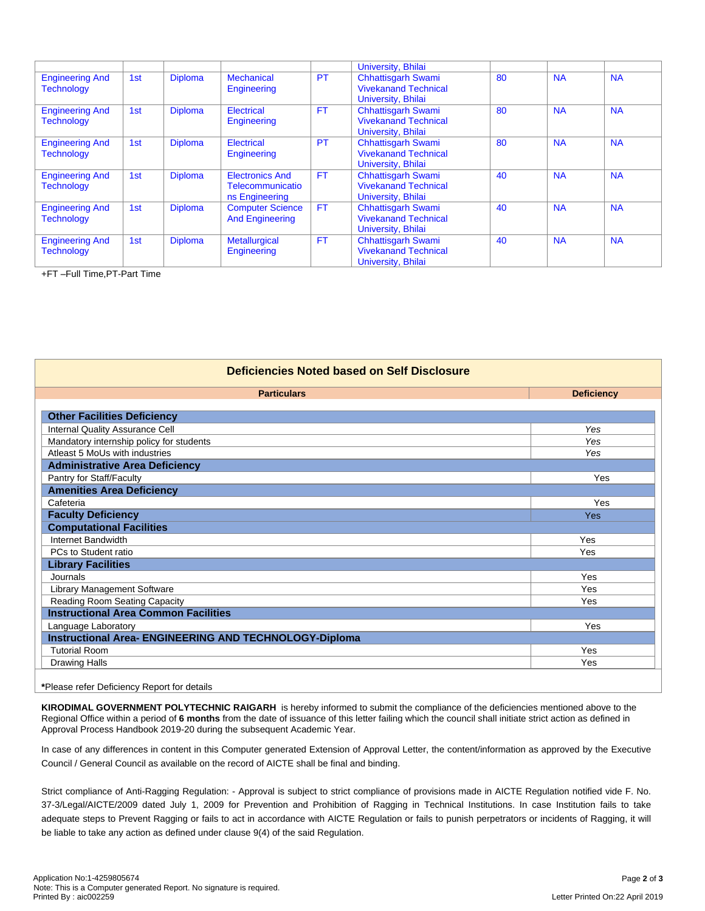|                                             |     |                |                                                              |           | University, Bhilai                                                             |    |           |           |
|---------------------------------------------|-----|----------------|--------------------------------------------------------------|-----------|--------------------------------------------------------------------------------|----|-----------|-----------|
| <b>Engineering And</b><br><b>Technology</b> | 1st | <b>Diploma</b> | <b>Mechanical</b><br>Engineering                             | <b>PT</b> | <b>Chhattisgarh Swami</b><br><b>Vivekanand Technical</b><br>University, Bhilai | 80 | <b>NA</b> | <b>NA</b> |
| <b>Engineering And</b><br><b>Technology</b> | 1st | <b>Diploma</b> | Electrical<br>Engineering                                    | <b>FT</b> | <b>Chhattisgarh Swami</b><br><b>Vivekanand Technical</b><br>University, Bhilai | 80 | <b>NA</b> | <b>NA</b> |
| <b>Engineering And</b><br><b>Technology</b> | 1st | <b>Diploma</b> | Electrical<br>Engineering                                    | <b>PT</b> | <b>Chhattisgarh Swami</b><br><b>Vivekanand Technical</b><br>University, Bhilai | 80 | <b>NA</b> | <b>NA</b> |
| <b>Engineering And</b><br><b>Technology</b> | 1st | <b>Diploma</b> | <b>Electronics And</b><br>Telecommunicatio<br>ns Engineering | <b>FT</b> | <b>Chhattisgarh Swami</b><br><b>Vivekanand Technical</b><br>University, Bhilai | 40 | <b>NA</b> | <b>NA</b> |
| <b>Engineering And</b><br><b>Technology</b> | 1st | <b>Diploma</b> | <b>Computer Science</b><br><b>And Engineering</b>            | <b>FT</b> | <b>Chhattisgarh Swami</b><br><b>Vivekanand Technical</b><br>University, Bhilai | 40 | <b>NA</b> | <b>NA</b> |
| <b>Engineering And</b><br><b>Technology</b> | 1st | <b>Diploma</b> | <b>Metallurgical</b><br>Engineering                          | <b>FT</b> | <b>Chhattisgarh Swami</b><br><b>Vivekanand Technical</b><br>University, Bhilai | 40 | <b>NA</b> | <b>NA</b> |

+FT –Full Time,PT-Part Time

| Deficiencies Noted based on Self Disclosure                   |                   |  |  |  |  |
|---------------------------------------------------------------|-------------------|--|--|--|--|
| <b>Particulars</b>                                            | <b>Deficiency</b> |  |  |  |  |
|                                                               |                   |  |  |  |  |
| <b>Other Facilities Deficiency</b>                            |                   |  |  |  |  |
| Internal Quality Assurance Cell                               | Yes               |  |  |  |  |
| Mandatory internship policy for students                      | Yes               |  |  |  |  |
| Atleast 5 MoUs with industries                                | Yes               |  |  |  |  |
| <b>Administrative Area Deficiency</b>                         |                   |  |  |  |  |
| Pantry for Staff/Faculty                                      | Yes               |  |  |  |  |
| <b>Amenities Area Deficiency</b>                              |                   |  |  |  |  |
| Cafeteria                                                     | Yes               |  |  |  |  |
| <b>Faculty Deficiency</b>                                     | Yes               |  |  |  |  |
| <b>Computational Facilities</b>                               |                   |  |  |  |  |
| Internet Bandwidth                                            | Yes               |  |  |  |  |
| PCs to Student ratio                                          | Yes               |  |  |  |  |
| <b>Library Facilities</b>                                     |                   |  |  |  |  |
| Journals                                                      | Yes               |  |  |  |  |
| Library Management Software                                   | Yes               |  |  |  |  |
| Reading Room Seating Capacity                                 | Yes               |  |  |  |  |
| <b>Instructional Area Common Facilities</b>                   |                   |  |  |  |  |
| Language Laboratory                                           | Yes               |  |  |  |  |
| <b>Instructional Area- ENGINEERING AND TECHNOLOGY-Diploma</b> |                   |  |  |  |  |
| <b>Tutorial Room</b>                                          | Yes               |  |  |  |  |
| <b>Drawing Halls</b>                                          | Yes               |  |  |  |  |

**\***Please refer Deficiency Report for details

**KIRODIMAL GOVERNMENT POLYTECHNIC RAIGARH** is hereby informed to submit the compliance of the deficiencies mentioned above to the Regional Office within a period of **6 months** from the date of issuance of this letter failing which the council shall initiate strict action as defined in Approval Process Handbook 2019-20 during the subsequent Academic Year.

In case of any differences in content in this Computer generated Extension of Approval Letter, the content/information as approved by the Executive Council / General Council as available on the record of AICTE shall be final and binding.

Strict compliance of Anti-Ragging Regulation: - Approval is subject to strict compliance of provisions made in AICTE Regulation notified vide F. No. 37-3/Legal/AICTE/2009 dated July 1, 2009 for Prevention and Prohibition of Ragging in Technical Institutions. In case Institution fails to take adequate steps to Prevent Ragging or fails to act in accordance with AICTE Regulation or fails to punish perpetrators or incidents of Ragging, it will be liable to take any action as defined under clause 9(4) of the said Regulation.